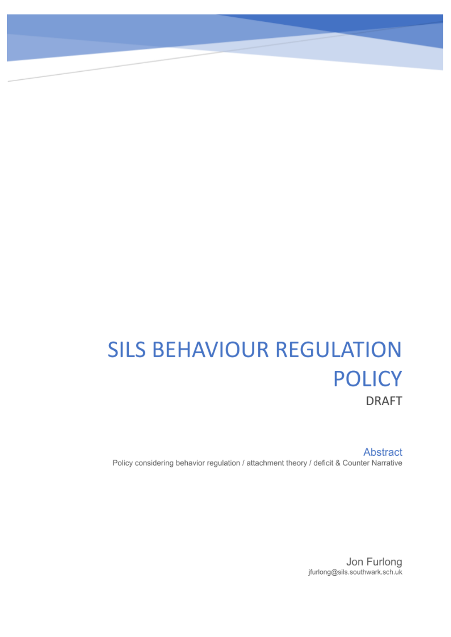# **SILS BEHAVIOUR REGULATION POLICY DRAFT**

Abstract Policy considering behavior regulation / attachment theory / deficit & Counter Narrative

> Jon Furlong jfurlong@sils.southwark.sch.uk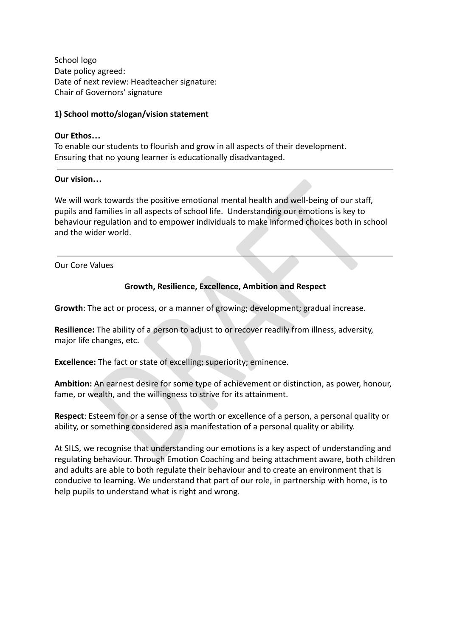School logo Date policy agreed: Date of next review: Headteacher signature: Chair of Governors' signature

## **1) School motto/slogan/vision statement**

#### **Our Ethos…**

To enable our students to flourish and grow in all aspects of their development. Ensuring that no young learner is educationally disadvantaged.

#### **Our vision…**

1...<br>
The families in all aspects of school life. Understanding our emotions is key to<br>
regulation and to empower individuals to make informed choices both in sch<br>
ider world.<br>
Walues<br>
Growth, Resilience, Excellence, Ambit We will work towards the positive emotional mental health and well-being of our staff, pupils and families in all aspects of school life. Understanding our emotions is key to behaviour regulation and to empower individuals to make informed choices both in school and the wider world.

Our Core Values

## **Growth, Resilience, Excellence, Ambition and Respect**

**Growth**: The act or process, or a manner of growing; development; gradual increase.

**Resilience:** The ability of a person to adjust to or recover readily from illness, adversity, major life changes, etc.

**Excellence:** The fact or state of excelling; superiority; eminence.

**Ambition:** An earnest desire for some type of achievement or distinction, as power, honour, fame, or wealth, and the willingness to strive for its attainment.

**Respect**: Esteem for or a sense of the worth or excellence of a person, a personal quality or ability, or something considered as a manifestation of a personal quality or ability.

At SILS, we recognise that understanding our emotions is a key aspect of understanding and regulating behaviour. Through Emotion Coaching and being attachment aware, both children and adults are able to both regulate their behaviour and to create an environment that is conducive to learning. We understand that part of our role, in partnership with home, is to help pupils to understand what is right and wrong.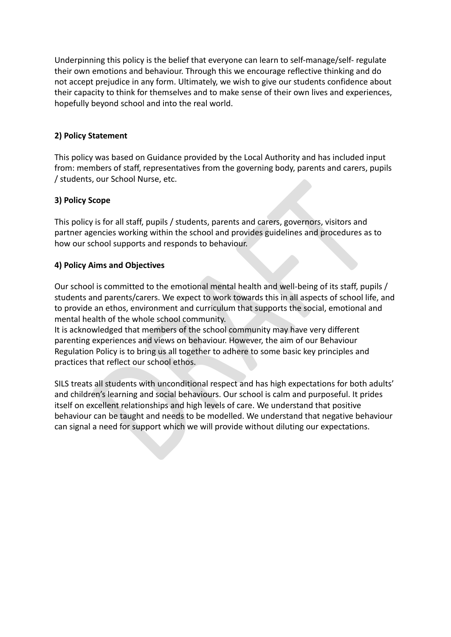Underpinning this policy is the belief that everyone can learn to self-manage/self- regulate their own emotions and behaviour. Through this we encourage reflective thinking and do not accept prejudice in any form. Ultimately, we wish to give our students confidence about their capacity to think for themselves and to make sense of their own lives and experiences, hopefully beyond school and into the real world.

## **2) Policy Statement**

This policy was based on Guidance provided by the Local Authority and has included input from: members of staff, representatives from the governing body, parents and carers, pupils / students, our School Nurse, etc.

## **3) Policy Scope**

This policy is for all staff, pupils / students, parents and carers, governors, visitors and partner agencies working within the school and provides guidelines and procedures as to how our school supports and responds to behaviour.

## **4) Policy Aims and Objectives**

Our school is committed to the emotional mental health and well-being of its staff, pupils / students and parents/carers. We expect to work towards this in all aspects of school life, and to provide an ethos, environment and curriculum that supports the social, emotional and mental health of the whole school community.

It is acknowledged that members of the school community may have very different parenting experiences and views on behaviour. However, the aim of our Behaviour Regulation Policy is to bring us all together to adhere to some basic key principles and practices that reflect our school ethos.

is, our school Nurse, etc.<br>
scope<br>
is for all staff, pupils / students, parents and carers, governors, visitors and<br>
gencies working within the school and provides guidelines and procedures as<br>
chool supports and responds SILS treats all students with unconditional respect and has high expectations for both adults' and children's learning and social behaviours. Our school is calm and purposeful. It prides itself on excellent relationships and high levels of care. We understand that positive behaviour can be taught and needs to be modelled. We understand that negative behaviour can signal a need for support which we will provide without diluting our expectations.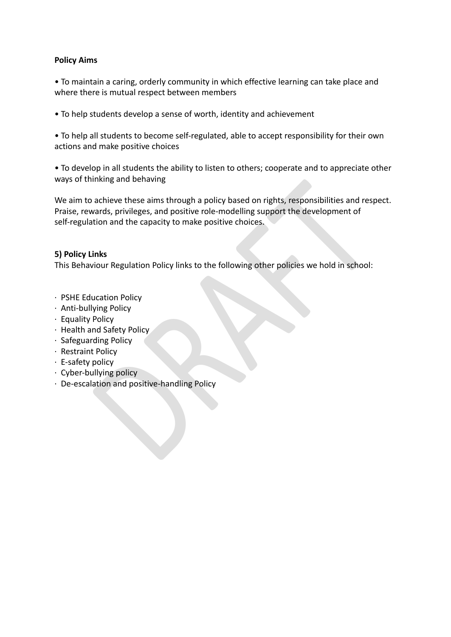## **Policy Aims**

• To maintain a caring, orderly community in which effective learning can take place and where there is mutual respect between members

• To help students develop a sense of worth, identity and achievement

• To help all students to become self-regulated, able to accept responsibility for their own actions and make positive choices

• To develop in all students the ability to listen to others; cooperate and to appreciate other ways of thinking and behaving

Inking and behaving<br>achieve these aims through a policy based on rights, responsibilities and rest<br>varias, privileges, and positive role-modelling support the development of<br>tion and the capacity to make positive choices.<br> We aim to achieve these aims through a policy based on rights, responsibilities and respect. Praise, rewards, privileges, and positive role-modelling support the development of self-regulation and the capacity to make positive choices.

## **5) Policy Links**

This Behaviour Regulation Policy links to the following other policies we hold in school:

- ∙ PSHE Education Policy
- ∙ Anti-bullying Policy
- ∙ Equality Policy
- ∙ Health and Safety Policy
- ∙ Safeguarding Policy
- ∙ Restraint Policy
- ∙ E-safety policy
- ∙ Cyber-bullying policy
- ∙ De-escalation and positive-handling Policy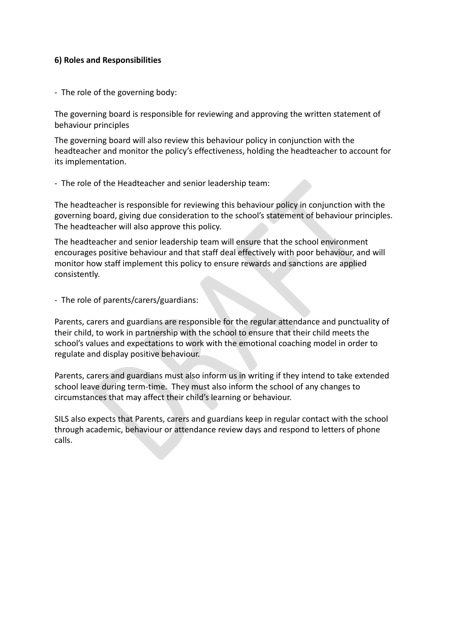## **6) Roles and Responsibilities**

- The role of the governing body:

The governing board is responsible for reviewing and approving the written statement of behaviour principles

The governing board will also review this behaviour policy in conjunction with the headteacher and monitor the policy's effectiveness, holding the headteacher to account for its implementation.

## - The role of the Headteacher and senior leadership team:

The headteacher is responsible for reviewing this behaviour policy in conjunction with the governing board, giving due consideration to the school's statement of behaviour principles. The headteacher will also approve this policy.

of the Headteacher and senior leadership team:<br>
reacher is responsible for reviewing this behaviour policy in conjunction with<br>
board, giving due consideration to the school's statement of behaviour princi<br>
reacher will al The headteacher and senior leadership team will ensure that the school environment encourages positive behaviour and that staff deal effectively with poor behaviour, and will monitor how staff implement this policy to ensure rewards and sanctions are applied consistently.

- The role of parents/carers/guardians:

Parents, carers and guardians are responsible for the regular attendance and punctuality of their child, to work in partnership with the school to ensure that their child meets the school's values and expectations to work with the emotional coaching model in order to regulate and display positive behaviour.

Parents, carers and guardians must also inform us in writing if they intend to take extended school leave during term-time. They must also inform the school of any changes to circumstances that may affect their child's learning or behaviour.

SILS also expects that Parents, carers and guardians keep in regular contact with the school through academic, behaviour or attendance review days and respond to letters of phone calls.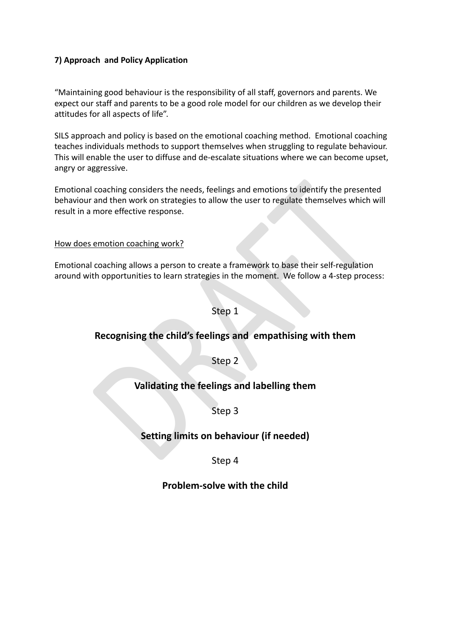## **7) Approach and Policy Application**

"Maintaining good behaviour is the responsibility of all staff, governors and parents. We expect our staff and parents to be a good role model for our children as we develop their attitudes for all aspects of life".

SILS approach and policy is based on the emotional coaching method. Emotional coaching teaches individuals methods to support themselves when struggling to regulate behaviour. This will enable the user to diffuse and de-escalate situations where we can become upset, angry or aggressive.

Coaching considers the needs, feelings and emotions to identify the present<br>
and then work on strategies to allow the user to regulate themselves which<br>
more effective response.<br>
<br>
<u>emotion coaching allows</u> a person to cre Emotional coaching considers the needs, feelings and emotions to identify the presented behaviour and then work on strategies to allow the user to regulate themselves which will result in a more effective response.

How does emotion coaching work?

Emotional coaching allows a person to create a framework to base their self-regulation around with opportunities to learn strategies in the moment. We follow a 4-step process:

## Step 1

# **Recognising the child's feelings and empathising with them**

Step 2

# **Validating the feelings and labelling them**

# Step 3

# **Setting limits on behaviour (if needed)**

Step 4

# **Problem-solve with the child**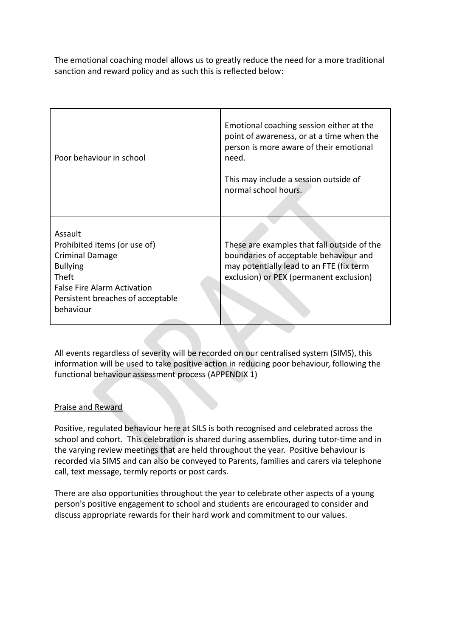The emotional coaching model allows us to greatly reduce the need for a more traditional sanction and reward policy and as such this is reflected below:

| Poor behaviour in school                                                                                                                                                                                                                                                                                                                                                 | Emotional coaching session either at the<br>point of awareness, or at a time when the<br>person is more aware of their emotional<br>need.<br>This may include a session outside of<br>normal school hours. |
|--------------------------------------------------------------------------------------------------------------------------------------------------------------------------------------------------------------------------------------------------------------------------------------------------------------------------------------------------------------------------|------------------------------------------------------------------------------------------------------------------------------------------------------------------------------------------------------------|
|                                                                                                                                                                                                                                                                                                                                                                          |                                                                                                                                                                                                            |
| Assault<br>Prohibited items (or use of)<br><b>Criminal Damage</b><br><b>Bullying</b><br>Theft<br><b>False Fire Alarm Activation</b><br>Persistent breaches of acceptable<br>behaviour                                                                                                                                                                                    | These are examples that fall outside of the<br>boundaries of acceptable behaviour and<br>may potentially lead to an FTE (fix term<br>exclusion) or PEX (permanent exclusion)                               |
| All events regardless of severity will be recorded on our centralised system (SIMS), this<br>information will be used to take positive action in reducing poor behaviour, following the<br>functional behaviour assessment process (APPENDIX 1)                                                                                                                          |                                                                                                                                                                                                            |
| Praise and Reward                                                                                                                                                                                                                                                                                                                                                        |                                                                                                                                                                                                            |
| Positive, regulated behaviour here at SILS is both recognised and celebrated across the<br>school and cohort. This celebration is shared during assemblies, during tutor-time and in<br>the varying review meetings that are held throughout the year. Positive behaviour is<br>recorded via SIMS and can also be conveyed to Parents, families and carers via telephone |                                                                                                                                                                                                            |

## Praise and Reward

Positive, regulated behaviour here at SILS is both recognised and celebrated across the school and cohort. This celebration is shared during assemblies, during tutor-time and in the varying review meetings that are held throughout the year. Positive behaviour is recorded via SIMS and can also be conveyed to Parents, families and carers via telephone call, text message, termly reports or post cards.

There are also opportunities throughout the year to celebrate other aspects of a young person's positive engagement to school and students are encouraged to consider and discuss appropriate rewards for their hard work and commitment to our values.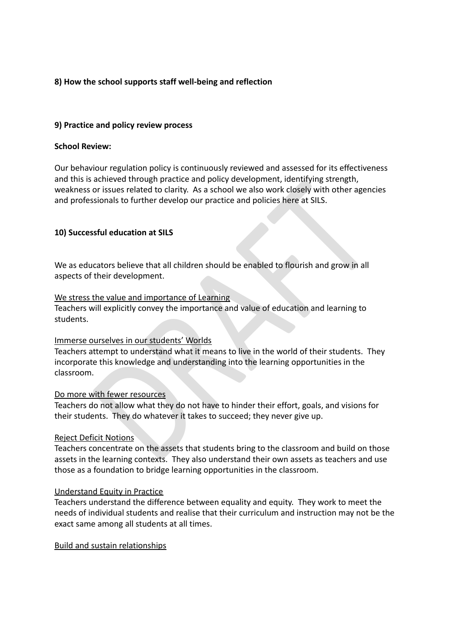## **8) How the school supports staff well-being and reflection**

## **9) Practice and policy review process**

#### **School Review:**

Our behaviour regulation policy is continuously reviewed and assessed for its effectiveness and this is achieved through practice and policy development, identifying strength, weakness or issues related to clarity. As a school we also work closely with other agencies and professionals to further develop our practice and policies here at SILS.

## **10) Successful education at SILS**

We as educators believe that all children should be enabled to flourish and grow in all aspects of their development.

#### We stress the value and importance of Learning

Teachers will explicitly convey the importance and value of education and learning to students.

#### Immerse ourselves in our students' Worlds

achieved through practicle and policy development, identifying strength,<br>or issues related to clarity. As a school we also work closely with other agenc<br>sionals to further develop our practice and policies here at SILS.<br> Teachers attempt to understand what it means to live in the world of their students. They incorporate this knowledge and understanding into the learning opportunities in the classroom.

#### Do more with fewer resources

Teachers do not allow what they do not have to hinder their effort, goals, and visions for their students. They do whatever it takes to succeed; they never give up.

## Reject Deficit Notions

Teachers concentrate on the assets that students bring to the classroom and build on those assets in the learning contexts. They also understand their own assets as teachers and use those as a foundation to bridge learning opportunities in the classroom.

## Understand Equity in Practice

Teachers understand the difference between equality and equity. They work to meet the needs of individual students and realise that their curriculum and instruction may not be the exact same among all students at all times.

#### Build and sustain relationships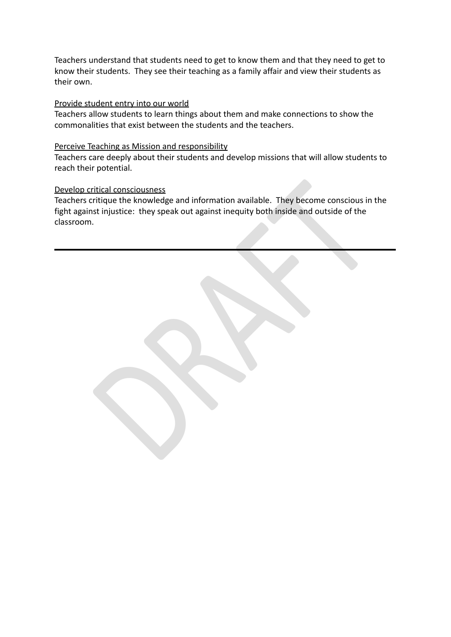Teachers understand that students need to get to know them and that they need to get to know their students. They see their teaching as a family affair and view their students as their own.

#### Provide student entry into our world

Teachers allow students to learn things about them and make connections to show the commonalities that exist between the students and the teachers.

#### Perceive Teaching as Mission and responsibility

Teachers care deeply about their students and develop missions that will allow students to reach their potential.

## Develop critical consciousness

ritical consciousness<br>critique the knowledge and information available. They become conscious in<br>st injustice: they speak out against inequity both inside and outside of the<br>. Teachers critique the knowledge and information available. They become conscious in the fight against injustice: they speak out against inequity both inside and outside of the classroom.